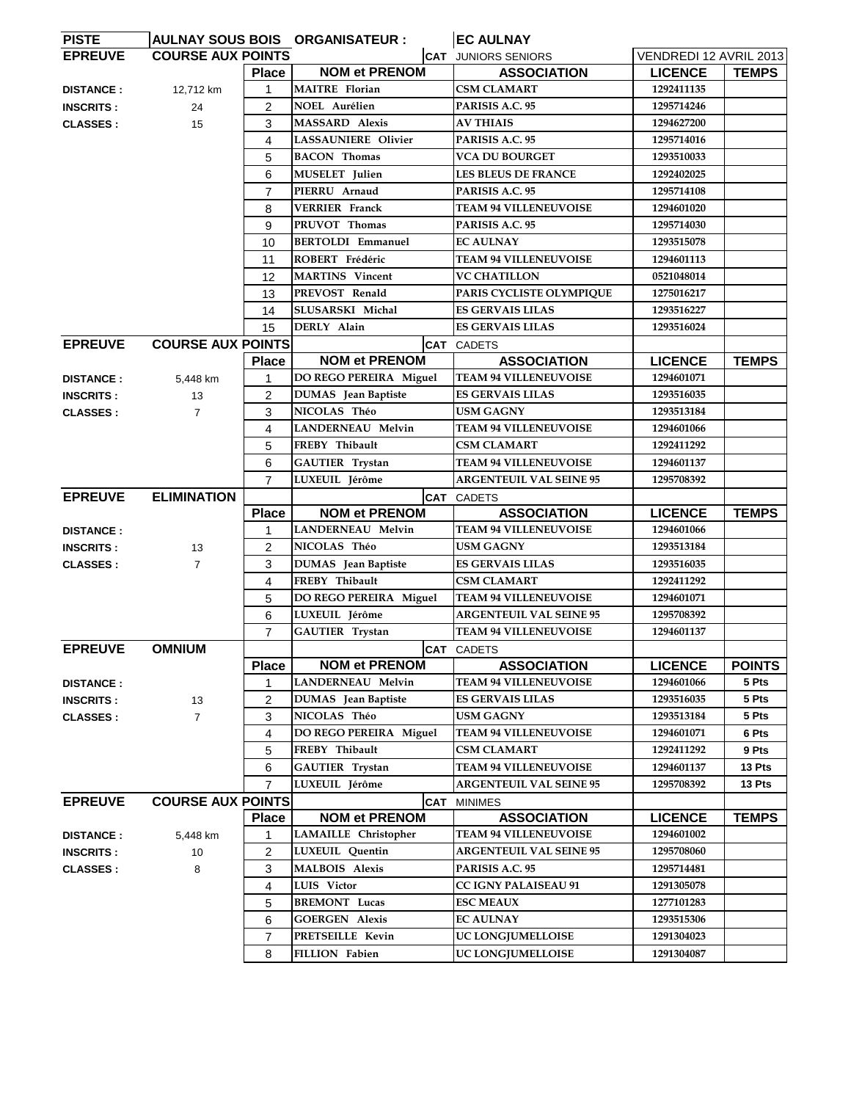| <b>PISTE</b>     |                          |                   | AULNAY SOUS BOIS ORGANISATEUR :                  | <b>EC AULNAY</b>                                               |                              |                        |
|------------------|--------------------------|-------------------|--------------------------------------------------|----------------------------------------------------------------|------------------------------|------------------------|
| <b>EPREUVE</b>   | <b>COURSE AUX POINTS</b> |                   |                                                  | <b>CAT JUNIORS SENIORS</b>                                     | VENDREDI 12 AVRIL 2013       |                        |
|                  |                          | <b>Place</b>      | <b>NOM et PRENOM</b>                             | <b>ASSOCIATION</b>                                             | <b>LICENCE</b>               | <b>TEMPS</b>           |
| <b>DISTANCE:</b> | 12,712 km                | 1                 | <b>MAITRE</b> Florian                            | <b>CSM CLAMART</b>                                             | 1292411135                   |                        |
| <b>INSCRITS:</b> | 24                       | 2                 | <b>NOEL Aurélien</b>                             | PARISIS A.C. 95                                                | 1295714246                   |                        |
| <b>CLASSES:</b>  | 15                       | 3                 | <b>MASSARD Alexis</b>                            | <b>AV THIAIS</b>                                               | 1294627200                   |                        |
|                  |                          | 4                 | LASSAUNIERE Olivier                              | PARISIS A.C. 95                                                | 1295714016                   |                        |
|                  |                          | 5                 | <b>BACON</b> Thomas                              | <b>VCA DU BOURGET</b>                                          | 1293510033                   |                        |
|                  |                          | 6                 | MUSELET Julien                                   | <b>LES BLEUS DE FRANCE</b>                                     | 1292402025                   |                        |
|                  |                          | 7                 | PIERRU Arnaud                                    | PARISIS A.C. 95                                                | 1295714108                   |                        |
|                  |                          | 8                 | <b>VERRIER</b> Franck                            | <b>TEAM 94 VILLENEUVOISE</b>                                   | 1294601020                   |                        |
|                  |                          | 9                 | PRUVOT Thomas                                    | PARISIS A.C. 95                                                | 1295714030                   |                        |
|                  |                          | 10                | <b>BERTOLDI Emmanuel</b>                         | <b>EC AULNAY</b>                                               | 1293515078                   |                        |
|                  |                          | 11                | ROBERT Frédéric                                  | <b>TEAM 94 VILLENEUVOISE</b>                                   | 1294601113                   |                        |
|                  |                          | 12                | <b>MARTINS</b> Vincent                           | <b>VC CHATILLON</b>                                            | 0521048014                   |                        |
|                  |                          | 13                | PREVOST Renald                                   | PARIS CYCLISTE OLYMPIQUE                                       | 1275016217                   |                        |
|                  |                          | 14                | SLUSARSKI Michal                                 | <b>ES GERVAIS LILAS</b>                                        | 1293516227                   |                        |
|                  |                          | 15                | DERLY Alain                                      | <b>ES GERVAIS LILAS</b>                                        | 1293516024                   |                        |
| <b>EPREUVE</b>   | <b>COURSE AUX POINTS</b> |                   |                                                  | <b>CAT</b> CADETS                                              |                              |                        |
|                  |                          | <b>Place</b>      | <b>NOM et PRENOM</b>                             | <b>ASSOCIATION</b>                                             | <b>LICENCE</b>               | <b>TEMPS</b>           |
| <b>DISTANCE:</b> | 5,448 km                 | 1                 | DO REGO PEREIRA Miguel                           | <b>TEAM 94 VILLENEUVOISE</b>                                   | 1294601071                   |                        |
| <b>INSCRITS:</b> | 13                       | 2                 | <b>DUMAS</b> Jean Baptiste                       | <b>ES GERVAIS LILAS</b>                                        | 1293516035                   |                        |
| <b>CLASSES:</b>  | $\overline{7}$           | 3                 | NICOLAS Théo                                     | USM GAGNY                                                      | 1293513184                   |                        |
|                  |                          | 4                 | <b>LANDERNEAU Melvin</b>                         | <b>TEAM 94 VILLENEUVOISE</b>                                   | 1294601066                   |                        |
|                  |                          | 5                 | FREBY Thibault                                   | <b>CSM CLAMART</b>                                             | 1292411292                   |                        |
|                  |                          | 6                 | <b>GAUTIER</b> Trystan                           | <b>TEAM 94 VILLENEUVOISE</b>                                   | 1294601137                   |                        |
|                  |                          | $\overline{7}$    | LUXEUIL Jérôme                                   | <b>ARGENTEUIL VAL SEINE 95</b>                                 | 1295708392                   |                        |
| <b>EPREUVE</b>   | <b>ELIMINATION</b>       |                   |                                                  | <b>CAT CADETS</b>                                              |                              |                        |
|                  |                          |                   |                                                  |                                                                |                              |                        |
|                  |                          | <b>Place</b>      | <b>NOM et PRENOM</b>                             |                                                                |                              |                        |
| <b>DISTANCE:</b> |                          | 1                 | LANDERNEAU Melvin                                | <b>ASSOCIATION</b><br><b>TEAM 94 VILLENEUVOISE</b>             | <b>LICENCE</b><br>1294601066 | <b>TEMPS</b>           |
| <b>INSCRITS:</b> |                          | $\overline{2}$    | NICOLAS Théo                                     | <b>USM GAGNY</b>                                               | 1293513184                   |                        |
|                  | 13<br>$\overline{7}$     | 3                 |                                                  | <b>ES GERVAIS LILAS</b>                                        | 1293516035                   |                        |
| <b>CLASSES:</b>  |                          | 4                 | <b>DUMAS</b> Jean Baptiste<br>FREBY Thibault     | <b>CSM CLAMART</b>                                             | 1292411292                   |                        |
|                  |                          |                   |                                                  |                                                                | 1294601071                   |                        |
|                  |                          | 5                 | DO REGO PEREIRA Miguel                           | <b>TEAM 94 VILLENEUVOISE</b>                                   |                              |                        |
|                  |                          | 6                 | LUXEUIL Jérôme                                   | <b>ARGENTEUIL VAL SEINE 95</b><br><b>TEAM 94 VILLENEUVOISE</b> | 1295708392                   |                        |
|                  |                          | $\overline{7}$    | <b>GAUTIER</b> Trystan                           |                                                                | 1294601137                   |                        |
| <b>EPREUVE</b>   | <b>OMNIUM</b>            |                   |                                                  | <b>CAT CADETS</b>                                              |                              |                        |
|                  |                          | <b>Place</b><br>1 | <b>NOM et PRENOM</b><br><b>LANDERNEAU Melvin</b> | <b>ASSOCIATION</b><br><b>TEAM 94 VILLENEUVOISE</b>             | <b>LICENCE</b><br>1294601066 | <b>POINTS</b><br>5 Pts |
| <b>DISTANCE:</b> |                          |                   |                                                  | <b>ES GERVAIS LILAS</b>                                        |                              | 5 Pts                  |
| <b>INSCRITS:</b> | 13                       | 2                 | <b>DUMAS</b> Jean Baptiste                       | <b>USM GAGNY</b>                                               | 1293516035<br>1293513184     |                        |
| <b>CLASSES:</b>  | $\overline{7}$           | 3                 | NICOLAS Théo                                     |                                                                |                              | 5 Pts                  |
|                  |                          | 4                 | DO REGO PEREIRA Miguel                           | <b>TEAM 94 VILLENEUVOISE</b><br><b>CSM CLAMART</b>             | 1294601071<br>1292411292     | 6 Pts                  |
|                  |                          | 5                 | FREBY Thibault                                   |                                                                |                              | 9 Pts<br>13 Pts        |
|                  |                          | 6<br>7            | <b>GAUTIER</b> Trystan                           | <b>TEAM 94 VILLENEUVOISE</b>                                   | 1294601137                   |                        |
|                  |                          |                   | LUXEUIL Jérôme                                   | <b>ARGENTEUIL VAL SEINE 95</b>                                 | 1295708392                   | 13 Pts                 |
| <b>EPREUVE</b>   | <b>COURSE AUX POINTS</b> |                   | <b>CAT</b>                                       | <b>MINIMES</b>                                                 |                              |                        |
|                  |                          | <b>Place</b><br>1 | <b>NOM et PRENOM</b>                             | <b>ASSOCIATION</b><br><b>TEAM 94 VILLENEUVOISE</b>             | <b>LICENCE</b><br>1294601002 | <b>TEMPS</b>           |
| <b>DISTANCE:</b> | 5,448 km                 |                   | LAMAILLE Christopher                             |                                                                | 1295708060                   |                        |
| <b>INSCRITS:</b> | 10                       | $\overline{2}$    | LUXEUIL Quentin                                  | <b>ARGENTEUIL VAL SEINE 95</b>                                 |                              |                        |
| <b>CLASSES:</b>  | 8                        | 3                 | <b>MALBOIS Alexis</b>                            | PARISIS A.C. 95                                                | 1295714481                   |                        |
|                  |                          | 4                 | <b>LUIS</b> Victor                               | <b>CC IGNY PALAISEAU 91</b>                                    | 1291305078                   |                        |
|                  |                          | 5                 | <b>BREMONT Lucas</b>                             | <b>ESC MEAUX</b>                                               | 1277101283                   |                        |
|                  |                          | 6                 | <b>GOERGEN Alexis</b>                            | <b>EC AULNAY</b>                                               | 1293515306                   |                        |
|                  |                          | 7<br>8            | PRETSEILLE Kevin<br><b>FILLION</b> Fabien        | UC LONGJUMELLOISE<br>UC LONGJUMELLOISE                         | 1291304023<br>1291304087     |                        |